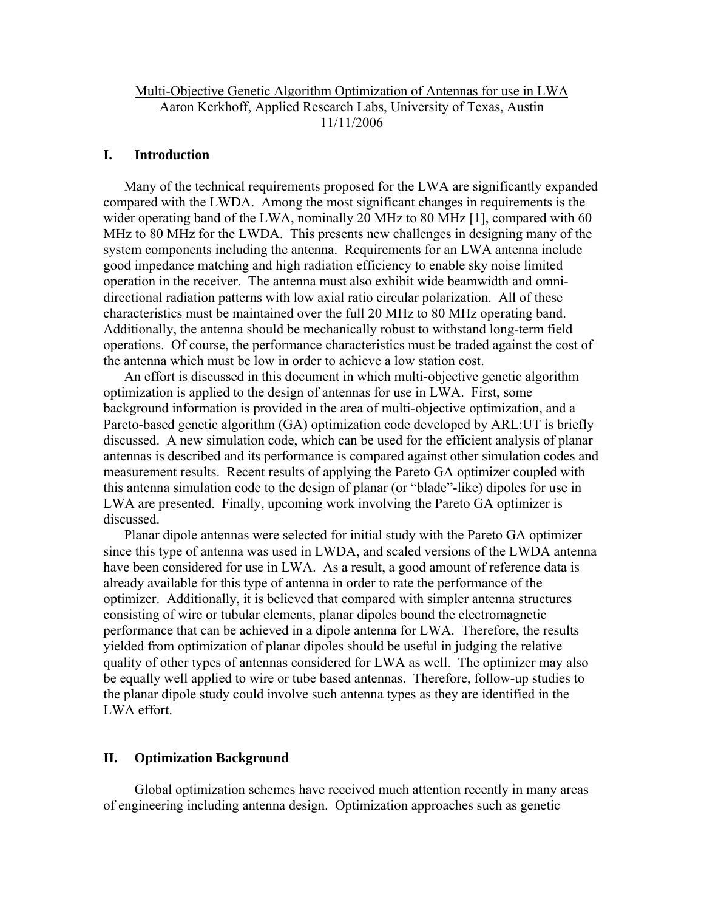# Multi-Objective Genetic Algorithm Optimization of Antennas for use in LWA Aaron Kerkhoff, Applied Research Labs, University of Texas, Austin 11/11/2006

### **I. Introduction**

 Many of the technical requirements proposed for the LWA are significantly expanded compared with the LWDA. Among the most significant changes in requirements is the wider operating band of the LWA, nominally 20 MHz to 80 MHz [1], compared with 60 MHz to 80 MHz for the LWDA. This presents new challenges in designing many of the system components including the antenna. Requirements for an LWA antenna include good impedance matching and high radiation efficiency to enable sky noise limited operation in the receiver. The antenna must also exhibit wide beamwidth and omnidirectional radiation patterns with low axial ratio circular polarization. All of these characteristics must be maintained over the full 20 MHz to 80 MHz operating band. Additionally, the antenna should be mechanically robust to withstand long-term field operations. Of course, the performance characteristics must be traded against the cost of the antenna which must be low in order to achieve a low station cost.

 An effort is discussed in this document in which multi-objective genetic algorithm optimization is applied to the design of antennas for use in LWA. First, some background information is provided in the area of multi-objective optimization, and a Pareto-based genetic algorithm (GA) optimization code developed by ARL:UT is briefly discussed. A new simulation code, which can be used for the efficient analysis of planar antennas is described and its performance is compared against other simulation codes and measurement results. Recent results of applying the Pareto GA optimizer coupled with this antenna simulation code to the design of planar (or "blade"-like) dipoles for use in LWA are presented. Finally, upcoming work involving the Pareto GA optimizer is discussed.

 Planar dipole antennas were selected for initial study with the Pareto GA optimizer since this type of antenna was used in LWDA, and scaled versions of the LWDA antenna have been considered for use in LWA. As a result, a good amount of reference data is already available for this type of antenna in order to rate the performance of the optimizer. Additionally, it is believed that compared with simpler antenna structures consisting of wire or tubular elements, planar dipoles bound the electromagnetic performance that can be achieved in a dipole antenna for LWA. Therefore, the results yielded from optimization of planar dipoles should be useful in judging the relative quality of other types of antennas considered for LWA as well. The optimizer may also be equally well applied to wire or tube based antennas. Therefore, follow-up studies to the planar dipole study could involve such antenna types as they are identified in the LWA effort.

### **II. Optimization Background**

Global optimization schemes have received much attention recently in many areas of engineering including antenna design. Optimization approaches such as genetic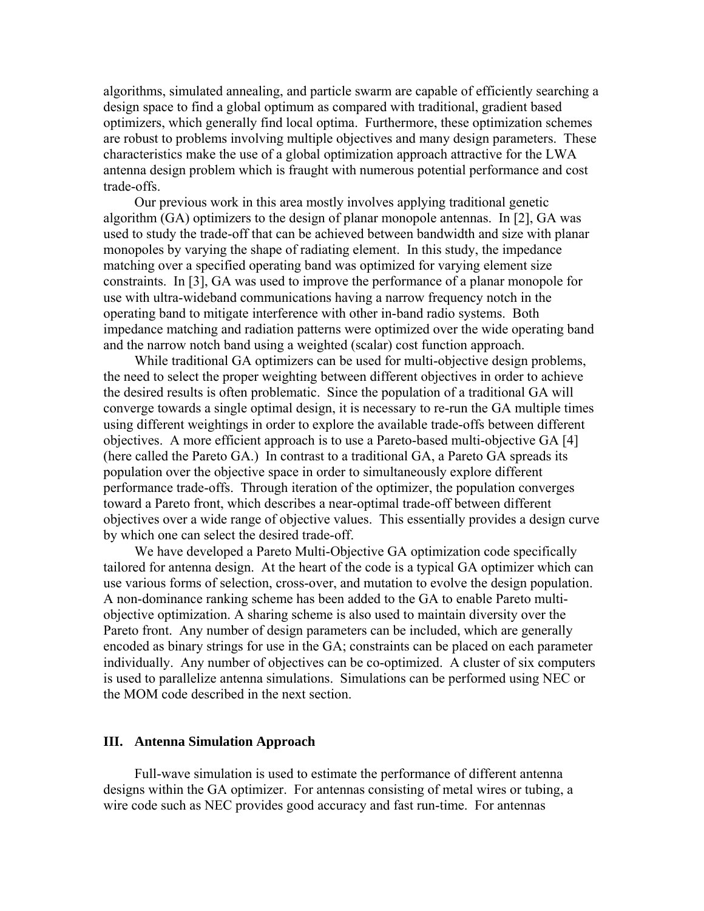algorithms, simulated annealing, and particle swarm are capable of efficiently searching a design space to find a global optimum as compared with traditional, gradient based optimizers, which generally find local optima. Furthermore, these optimization schemes are robust to problems involving multiple objectives and many design parameters. These characteristics make the use of a global optimization approach attractive for the LWA antenna design problem which is fraught with numerous potential performance and cost trade-offs.

Our previous work in this area mostly involves applying traditional genetic algorithm (GA) optimizers to the design of planar monopole antennas. In [2], GA was used to study the trade-off that can be achieved between bandwidth and size with planar monopoles by varying the shape of radiating element. In this study, the impedance matching over a specified operating band was optimized for varying element size constraints. In [3], GA was used to improve the performance of a planar monopole for use with ultra-wideband communications having a narrow frequency notch in the operating band to mitigate interference with other in-band radio systems. Both impedance matching and radiation patterns were optimized over the wide operating band and the narrow notch band using a weighted (scalar) cost function approach.

While traditional GA optimizers can be used for multi-objective design problems, the need to select the proper weighting between different objectives in order to achieve the desired results is often problematic. Since the population of a traditional GA will converge towards a single optimal design, it is necessary to re-run the GA multiple times using different weightings in order to explore the available trade-offs between different objectives. A more efficient approach is to use a Pareto-based multi-objective GA [4] (here called the Pareto GA.) In contrast to a traditional GA, a Pareto GA spreads its population over the objective space in order to simultaneously explore different performance trade-offs. Through iteration of the optimizer, the population converges toward a Pareto front, which describes a near-optimal trade-off between different objectives over a wide range of objective values. This essentially provides a design curve by which one can select the desired trade-off.

We have developed a Pareto Multi-Objective GA optimization code specifically tailored for antenna design. At the heart of the code is a typical GA optimizer which can use various forms of selection, cross-over, and mutation to evolve the design population. A non-dominance ranking scheme has been added to the GA to enable Pareto multiobjective optimization. A sharing scheme is also used to maintain diversity over the Pareto front. Any number of design parameters can be included, which are generally encoded as binary strings for use in the GA; constraints can be placed on each parameter individually. Any number of objectives can be co-optimized. A cluster of six computers is used to parallelize antenna simulations. Simulations can be performed using NEC or the MOM code described in the next section.

### **III. Antenna Simulation Approach**

Full-wave simulation is used to estimate the performance of different antenna designs within the GA optimizer. For antennas consisting of metal wires or tubing, a wire code such as NEC provides good accuracy and fast run-time. For antennas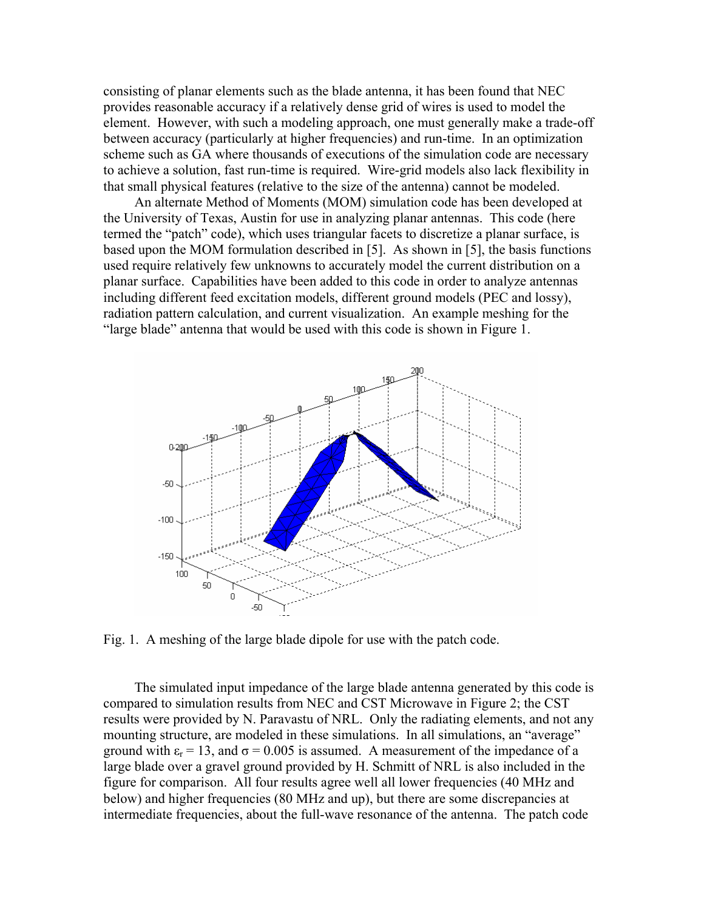consisting of planar elements such as the blade antenna, it has been found that NEC provides reasonable accuracy if a relatively dense grid of wires is used to model the element. However, with such a modeling approach, one must generally make a trade-off between accuracy (particularly at higher frequencies) and run-time. In an optimization scheme such as GA where thousands of executions of the simulation code are necessary to achieve a solution, fast run-time is required. Wire-grid models also lack flexibility in that small physical features (relative to the size of the antenna) cannot be modeled.

An alternate Method of Moments (MOM) simulation code has been developed at the University of Texas, Austin for use in analyzing planar antennas. This code (here termed the "patch" code), which uses triangular facets to discretize a planar surface, is based upon the MOM formulation described in [5]. As shown in [5], the basis functions used require relatively few unknowns to accurately model the current distribution on a planar surface. Capabilities have been added to this code in order to analyze antennas including different feed excitation models, different ground models (PEC and lossy), radiation pattern calculation, and current visualization. An example meshing for the "large blade" antenna that would be used with this code is shown in Figure 1.



Fig. 1. A meshing of the large blade dipole for use with the patch code.

The simulated input impedance of the large blade antenna generated by this code is compared to simulation results from NEC and CST Microwave in Figure 2; the CST results were provided by N. Paravastu of NRL. Only the radiating elements, and not any mounting structure, are modeled in these simulations. In all simulations, an "average" ground with  $\varepsilon_r = 13$ , and  $\sigma = 0.005$  is assumed. A measurement of the impedance of a large blade over a gravel ground provided by H. Schmitt of NRL is also included in the figure for comparison. All four results agree well all lower frequencies (40 MHz and below) and higher frequencies (80 MHz and up), but there are some discrepancies at intermediate frequencies, about the full-wave resonance of the antenna. The patch code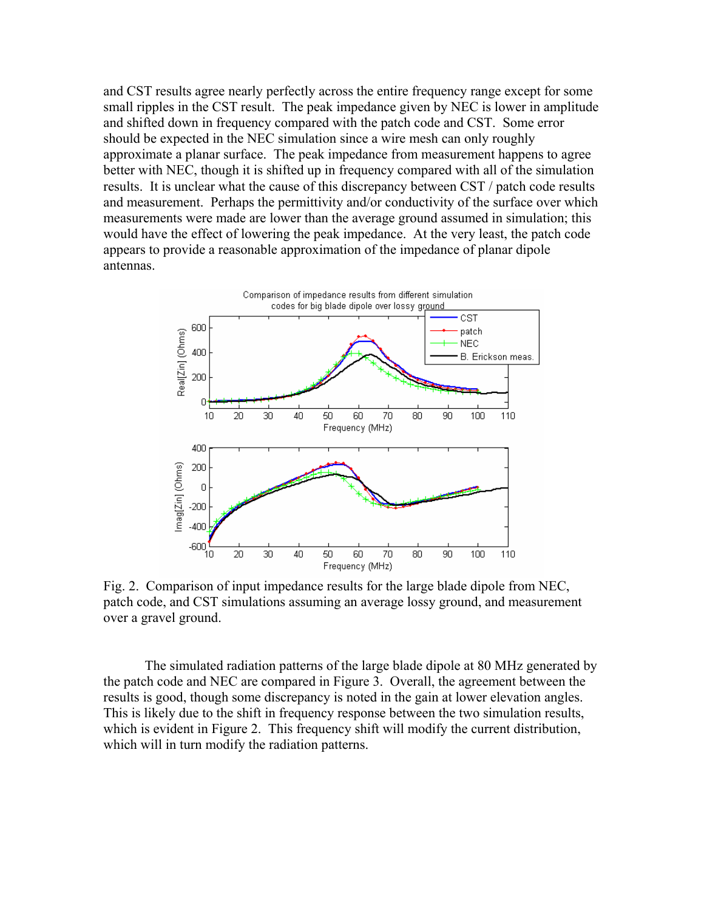and CST results agree nearly perfectly across the entire frequency range except for some small ripples in the CST result. The peak impedance given by NEC is lower in amplitude and shifted down in frequency compared with the patch code and CST. Some error should be expected in the NEC simulation since a wire mesh can only roughly approximate a planar surface. The peak impedance from measurement happens to agree better with NEC, though it is shifted up in frequency compared with all of the simulation results. It is unclear what the cause of this discrepancy between CST / patch code results and measurement. Perhaps the permittivity and/or conductivity of the surface over which measurements were made are lower than the average ground assumed in simulation; this would have the effect of lowering the peak impedance. At the very least, the patch code appears to provide a reasonable approximation of the impedance of planar dipole antennas.



Fig. 2. Comparison of input impedance results for the large blade dipole from NEC, patch code, and CST simulations assuming an average lossy ground, and measurement over a gravel ground.

The simulated radiation patterns of the large blade dipole at 80 MHz generated by the patch code and NEC are compared in Figure 3. Overall, the agreement between the results is good, though some discrepancy is noted in the gain at lower elevation angles. This is likely due to the shift in frequency response between the two simulation results, which is evident in Figure 2. This frequency shift will modify the current distribution, which will in turn modify the radiation patterns.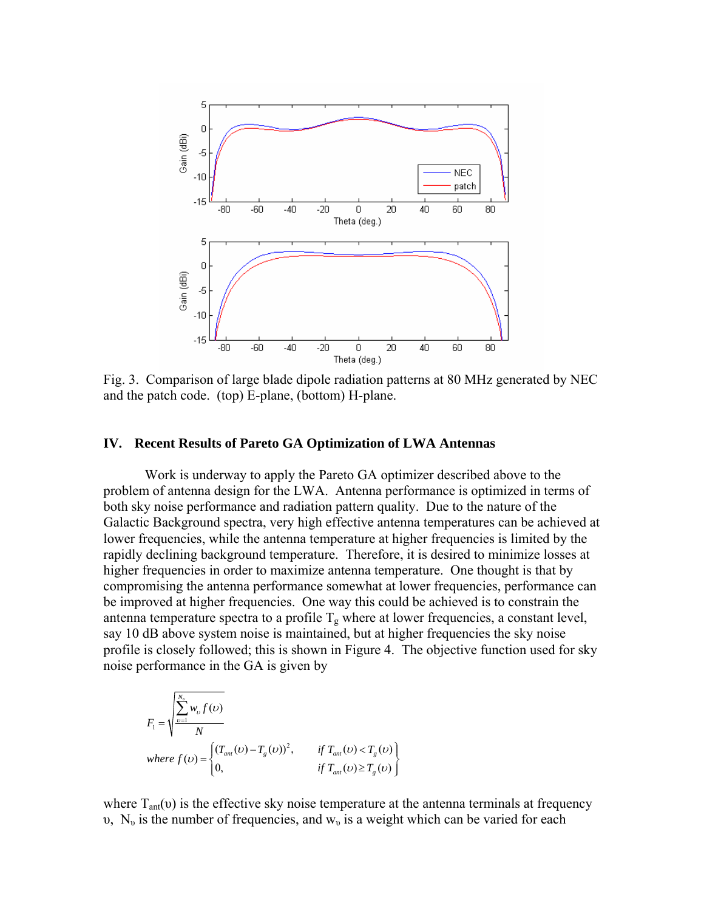

Fig. 3. Comparison of large blade dipole radiation patterns at 80 MHz generated by NEC and the patch code. (top) E-plane, (bottom) H-plane.

#### **IV. Recent Results of Pareto GA Optimization of LWA Antennas**

 Work is underway to apply the Pareto GA optimizer described above to the problem of antenna design for the LWA. Antenna performance is optimized in terms of both sky noise performance and radiation pattern quality. Due to the nature of the Galactic Background spectra, very high effective antenna temperatures can be achieved at lower frequencies, while the antenna temperature at higher frequencies is limited by the rapidly declining background temperature. Therefore, it is desired to minimize losses at higher frequencies in order to maximize antenna temperature. One thought is that by compromising the antenna performance somewhat at lower frequencies, performance can be improved at higher frequencies. One way this could be achieved is to constrain the antenna temperature spectra to a profile  $T_g$  where at lower frequencies, a constant level, say 10 dB above system noise is maintained, but at higher frequencies the sky noise profile is closely followed; this is shown in Figure 4. The objective function used for sky noise performance in the GA is given by

$$
F_1 = \sqrt{\frac{\sum_{v=1}^{N_v} w_v f(v)}{N}}
$$
  
where  $f(v) = \begin{cases} (T_{an}(v) - T_g(v))^2, & \text{if } T_{an}(v) < T_g(v) \\ 0, & \text{if } T_{an}(v) \ge T_g(v) \end{cases}$ 

where  $T_{\text{ant}}(v)$  is the effective sky noise temperature at the antenna terminals at frequency υ, N<sub>υ</sub> is the number of frequencies, and  $w<sub>ν</sub>$  is a weight which can be varied for each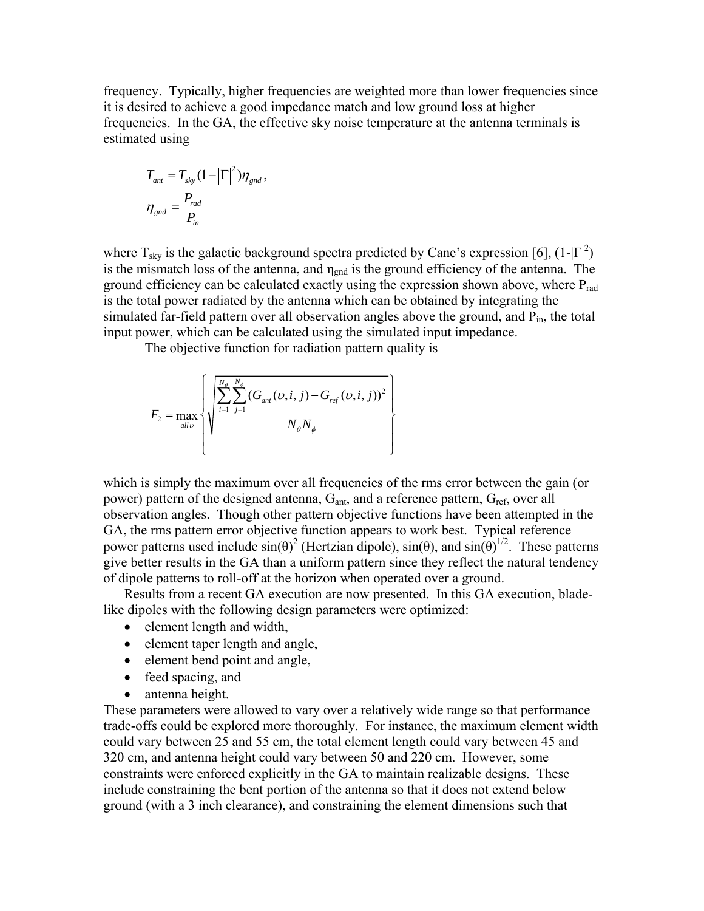frequency. Typically, higher frequencies are weighted more than lower frequencies since it is desired to achieve a good impedance match and low ground loss at higher frequencies. In the GA, the effective sky noise temperature at the antenna terminals is estimated using

$$
T_{ant} = T_{sky} (1 - \left|\Gamma\right|^2) \eta_{gnd},
$$
  

$$
\eta_{gnd} = \frac{P_{rad}}{P_{in}}
$$

where  $T_{sky}$  is the galactic background spectra predicted by Cane's expression [6],  $(1-|\Gamma|^2)$ is the mismatch loss of the antenna, and  $\eta_{\text{gnd}}$  is the ground efficiency of the antenna. The ground efficiency can be calculated exactly using the expression shown above, where  $P_{rad}$ is the total power radiated by the antenna which can be obtained by integrating the simulated far-field pattern over all observation angles above the ground, and  $P_{in}$ , the total input power, which can be calculated using the simulated input impedance.

The objective function for radiation pattern quality is

$$
F_2 = \max_{all\,\upsilon} \left\{ \sqrt{\frac{\sum_{i=1}^{N_{\phi}} \sum_{j=1}^{N_{\phi}} (G_{ant}(\upsilon, i, j) - G_{ref}(\upsilon, i, j))^{2}}{N_{\phi} N_{\phi}}} \right\}
$$

which is simply the maximum over all frequencies of the rms error between the gain (or power) pattern of the designed antenna,  $G<sub>ant</sub>$ , and a reference pattern,  $G<sub>ref</sub>$ , over all observation angles. Though other pattern objective functions have been attempted in the GA, the rms pattern error objective function appears to work best. Typical reference power patterns used include  $sin(\theta)^2$  (Hertzian dipole),  $sin(\theta)$ , and  $sin(\theta)^{1/2}$ . These patterns give better results in the GA than a uniform pattern since they reflect the natural tendency of dipole patterns to roll-off at the horizon when operated over a ground.

Results from a recent GA execution are now presented. In this GA execution, bladelike dipoles with the following design parameters were optimized:

- element length and width,
- element taper length and angle,
- element bend point and angle,
- feed spacing, and
- antenna height.

These parameters were allowed to vary over a relatively wide range so that performance trade-offs could be explored more thoroughly. For instance, the maximum element width could vary between 25 and 55 cm, the total element length could vary between 45 and 320 cm, and antenna height could vary between 50 and 220 cm. However, some constraints were enforced explicitly in the GA to maintain realizable designs. These include constraining the bent portion of the antenna so that it does not extend below ground (with a 3 inch clearance), and constraining the element dimensions such that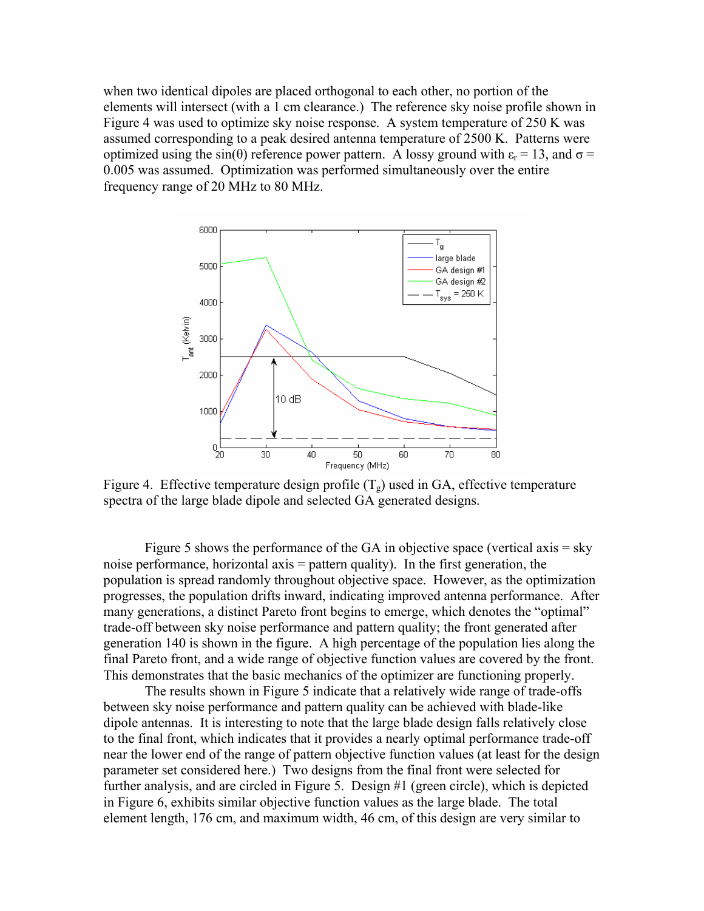when two identical dipoles are placed orthogonal to each other, no portion of the elements will intersect (with a 1 cm clearance.) The reference sky noise profile shown in Figure 4 was used to optimize sky noise response. A system temperature of 250 K was assumed corresponding to a peak desired antenna temperature of 2500 K. Patterns were optimized using the sin(θ) reference power pattern. A lossy ground with  $ε<sub>r</sub> = 13$ , and  $σ =$ 0.005 was assumed. Optimization was performed simultaneously over the entire frequency range of 20 MHz to 80 MHz.



Figure 4. Effective temperature design profile  $(T<sub>g</sub>)$  used in GA, effective temperature spectra of the large blade dipole and selected GA generated designs.

Figure 5 shows the performance of the GA in objective space (vertical axis = sky noise performance, horizontal axis = pattern quality). In the first generation, the population is spread randomly throughout objective space. However, as the optimization progresses, the population drifts inward, indicating improved antenna performance. After many generations, a distinct Pareto front begins to emerge, which denotes the "optimal" trade-off between sky noise performance and pattern quality; the front generated after generation 140 is shown in the figure. A high percentage of the population lies along the final Pareto front, and a wide range of objective function values are covered by the front. This demonstrates that the basic mechanics of the optimizer are functioning properly.

 The results shown in Figure 5 indicate that a relatively wide range of trade-offs between sky noise performance and pattern quality can be achieved with blade-like dipole antennas. It is interesting to note that the large blade design falls relatively close to the final front, which indicates that it provides a nearly optimal performance trade-off near the lower end of the range of pattern objective function values (at least for the design parameter set considered here.) Two designs from the final front were selected for further analysis, and are circled in Figure 5. Design #1 (green circle), which is depicted in Figure 6, exhibits similar objective function values as the large blade. The total element length, 176 cm, and maximum width, 46 cm, of this design are very similar to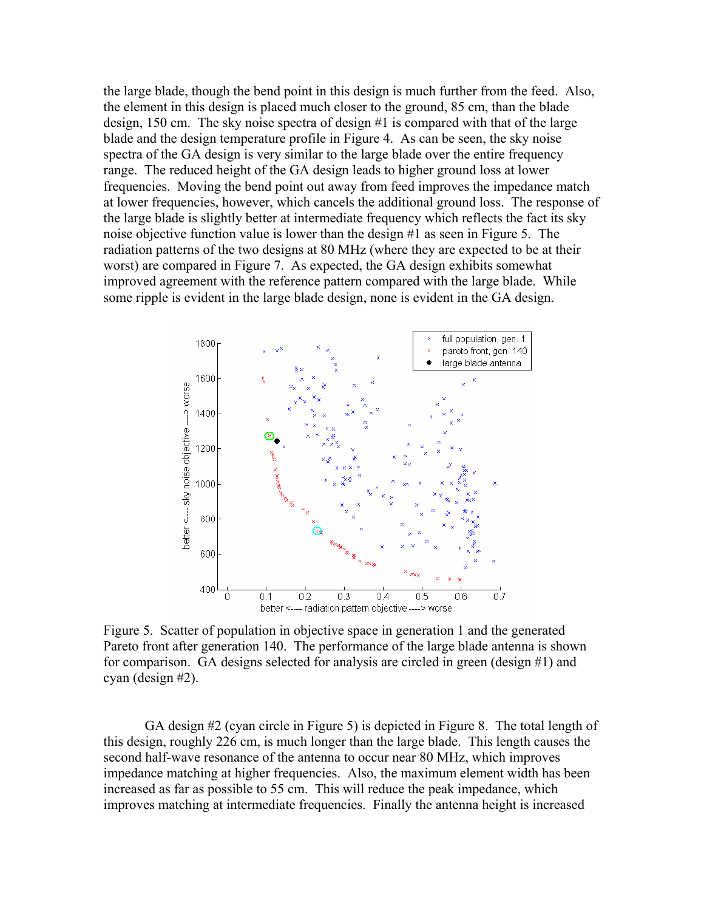the large blade, though the bend point in this design is much further from the feed. Also, the element in this design is placed much closer to the ground, 85 cm, than the blade design, 150 cm. The sky noise spectra of design #1 is compared with that of the large blade and the design temperature profile in Figure 4. As can be seen, the sky noise spectra of the GA design is very similar to the large blade over the entire frequency range. The reduced height of the GA design leads to higher ground loss at lower frequencies. Moving the bend point out away from feed improves the impedance match at lower frequencies, however, which cancels the additional ground loss. The response of the large blade is slightly better at intermediate frequency which reflects the fact its sky noise objective function value is lower than the design #1 as seen in Figure 5. The radiation patterns of the two designs at 80 MHz (where they are expected to be at their worst) are compared in Figure 7. As expected, the GA design exhibits somewhat improved agreement with the reference pattern compared with the large blade. While some ripple is evident in the large blade design, none is evident in the GA design.



Figure 5. Scatter of population in objective space in generation 1 and the generated Pareto front after generation 140. The performance of the large blade antenna is shown for comparison. GA designs selected for analysis are circled in green (design #1) and cyan (design #2).

GA design #2 (cyan circle in Figure 5) is depicted in Figure 8. The total length of this design, roughly 226 cm, is much longer than the large blade. This length causes the second half-wave resonance of the antenna to occur near 80 MHz, which improves impedance matching at higher frequencies. Also, the maximum element width has been increased as far as possible to 55 cm. This will reduce the peak impedance, which improves matching at intermediate frequencies. Finally the antenna height is increased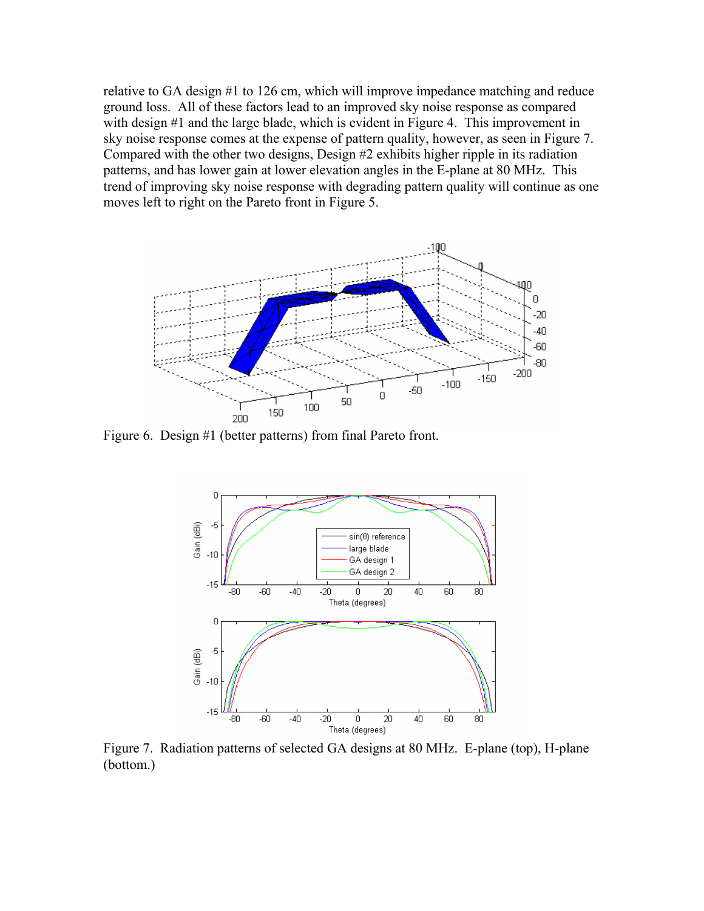relative to GA design #1 to 126 cm, which will improve impedance matching and reduce ground loss. All of these factors lead to an improved sky noise response as compared with design #1 and the large blade, which is evident in Figure 4. This improvement in sky noise response comes at the expense of pattern quality, however, as seen in Figure 7. Compared with the other two designs, Design #2 exhibits higher ripple in its radiation patterns, and has lower gain at lower elevation angles in the E-plane at 80 MHz. This trend of improving sky noise response with degrading pattern quality will continue as one moves left to right on the Pareto front in Figure 5.



Figure 6. Design #1 (better patterns) from final Pareto front.



Figure 7. Radiation patterns of selected GA designs at 80 MHz. E-plane (top), H-plane (bottom.)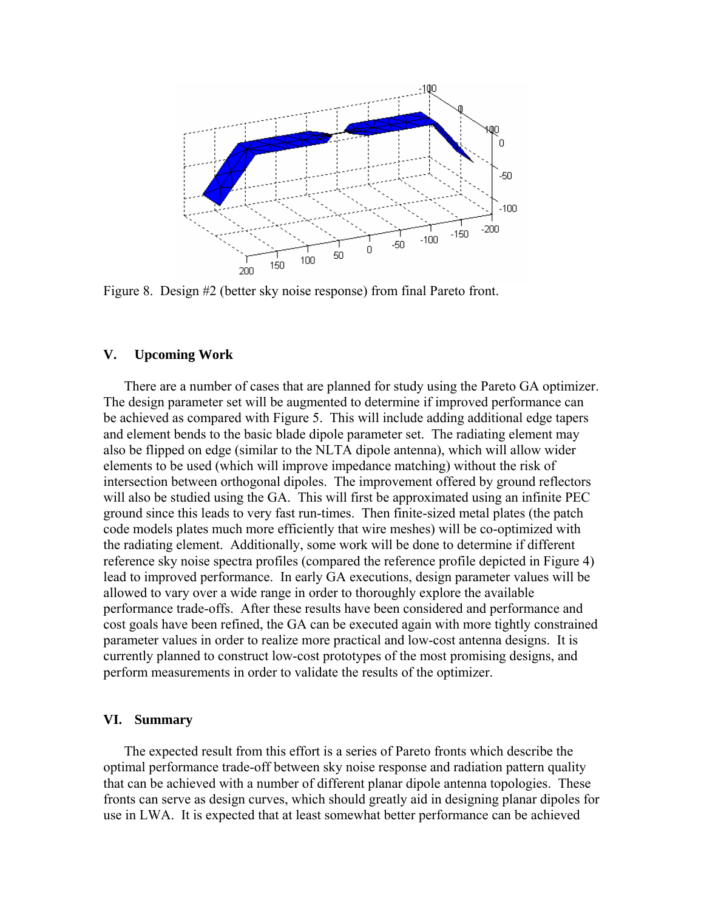

Figure 8. Design #2 (better sky noise response) from final Pareto front.

## **V. Upcoming Work**

There are a number of cases that are planned for study using the Pareto GA optimizer. The design parameter set will be augmented to determine if improved performance can be achieved as compared with Figure 5. This will include adding additional edge tapers and element bends to the basic blade dipole parameter set. The radiating element may also be flipped on edge (similar to the NLTA dipole antenna), which will allow wider elements to be used (which will improve impedance matching) without the risk of intersection between orthogonal dipoles. The improvement offered by ground reflectors will also be studied using the GA. This will first be approximated using an infinite PEC ground since this leads to very fast run-times. Then finite-sized metal plates (the patch code models plates much more efficiently that wire meshes) will be co-optimized with the radiating element. Additionally, some work will be done to determine if different reference sky noise spectra profiles (compared the reference profile depicted in Figure 4) lead to improved performance. In early GA executions, design parameter values will be allowed to vary over a wide range in order to thoroughly explore the available performance trade-offs. After these results have been considered and performance and cost goals have been refined, the GA can be executed again with more tightly constrained parameter values in order to realize more practical and low-cost antenna designs. It is currently planned to construct low-cost prototypes of the most promising designs, and perform measurements in order to validate the results of the optimizer.

# **VI. Summary**

The expected result from this effort is a series of Pareto fronts which describe the optimal performance trade-off between sky noise response and radiation pattern quality that can be achieved with a number of different planar dipole antenna topologies. These fronts can serve as design curves, which should greatly aid in designing planar dipoles for use in LWA. It is expected that at least somewhat better performance can be achieved